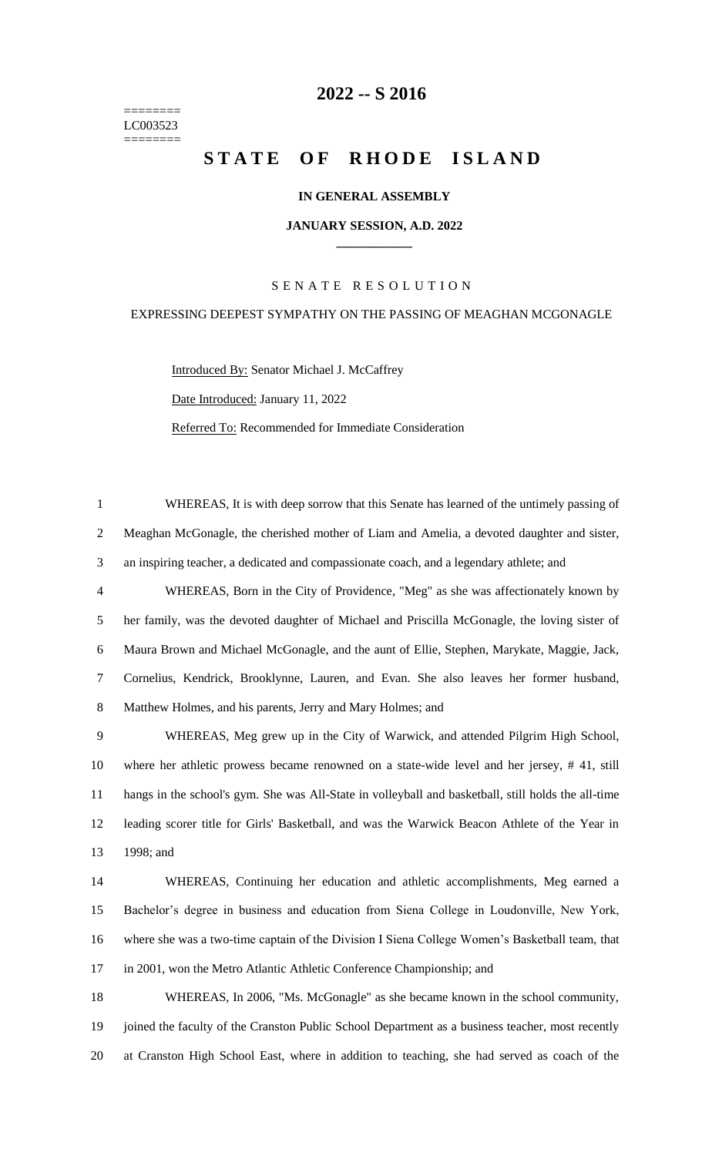======== LC003523 ========

# **-- S 2016**

# **STATE OF RHODE ISLAND**

# **IN GENERAL ASSEMBLY**

#### **JANUARY SESSION, A.D. 2022 \_\_\_\_\_\_\_\_\_\_\_\_**

# S E N A T E R E S O L U T I O N

# EXPRESSING DEEPEST SYMPATHY ON THE PASSING OF MEAGHAN MCGONAGLE

Introduced By: Senator Michael J. McCaffrey Date Introduced: January 11, 2022 Referred To: Recommended for Immediate Consideration

 WHEREAS, It is with deep sorrow that this Senate has learned of the untimely passing of Meaghan McGonagle, the cherished mother of Liam and Amelia, a devoted daughter and sister, an inspiring teacher, a dedicated and compassionate coach, and a legendary athlete; and

 WHEREAS, Born in the City of Providence, "Meg" as she was affectionately known by her family, was the devoted daughter of Michael and Priscilla McGonagle, the loving sister of Maura Brown and Michael McGonagle, and the aunt of Ellie, Stephen, Marykate, Maggie, Jack, Cornelius, Kendrick, Brooklynne, Lauren, and Evan. She also leaves her former husband, Matthew Holmes, and his parents, Jerry and Mary Holmes; and

 WHEREAS, Meg grew up in the City of Warwick, and attended Pilgrim High School, where her athletic prowess became renowned on a state-wide level and her jersey, # 41, still hangs in the school's gym. She was All-State in volleyball and basketball, still holds the all-time leading scorer title for Girls' Basketball, and was the Warwick Beacon Athlete of the Year in 1998; and

 WHEREAS, Continuing her education and athletic accomplishments, Meg earned a Bachelor's degree in business and education from Siena College in Loudonville, New York, where she was a two-time captain of the Division I Siena College Women's Basketball team, that in 2001, won the Metro Atlantic Athletic Conference Championship; and

 WHEREAS, In 2006, "Ms. McGonagle" as she became known in the school community, joined the faculty of the Cranston Public School Department as a business teacher, most recently at Cranston High School East, where in addition to teaching, she had served as coach of the